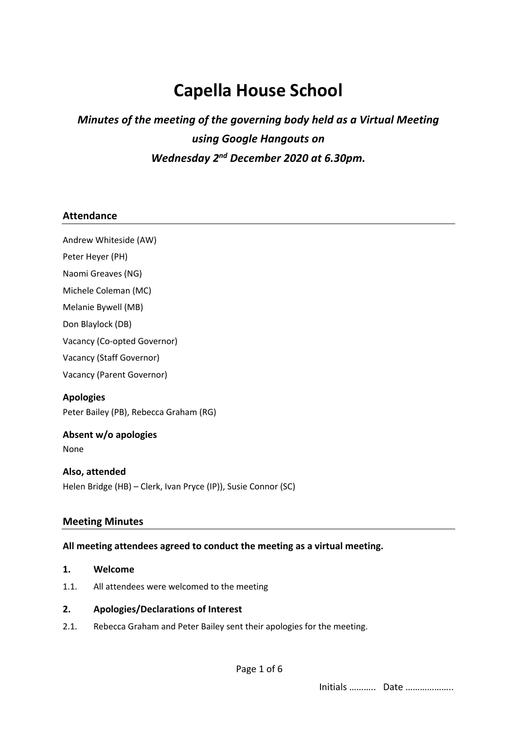# **Capella House School**

# *Minutes of the meeting of the governing body held as a Virtual Meeting using Google Hangouts on Wednesday 2nd December 2020 at 6.30pm.*

# **Attendance**

Andrew Whiteside (AW)

Peter Heyer (PH)

Naomi Greaves (NG)

Michele Coleman (MC)

Melanie Bywell (MB)

Don Blaylock (DB)

Vacancy (Co-opted Governor)

Vacancy (Staff Governor)

Vacancy (Parent Governor)

# **Apologies**

Peter Bailey (PB), Rebecca Graham (RG)

# **Absent w/o apologies**

None

# **Also, attended**

Helen Bridge (HB) – Clerk, Ivan Pryce (IP)), Susie Connor (SC)

# **Meeting Minutes**

# **All meeting attendees agreed to conduct the meeting as a virtual meeting.**

- **1. Welcome**
- 1.1. All attendees were welcomed to the meeting

# **2. Apologies/Declarations of Interest**

2.1. Rebecca Graham and Peter Bailey sent their apologies for the meeting.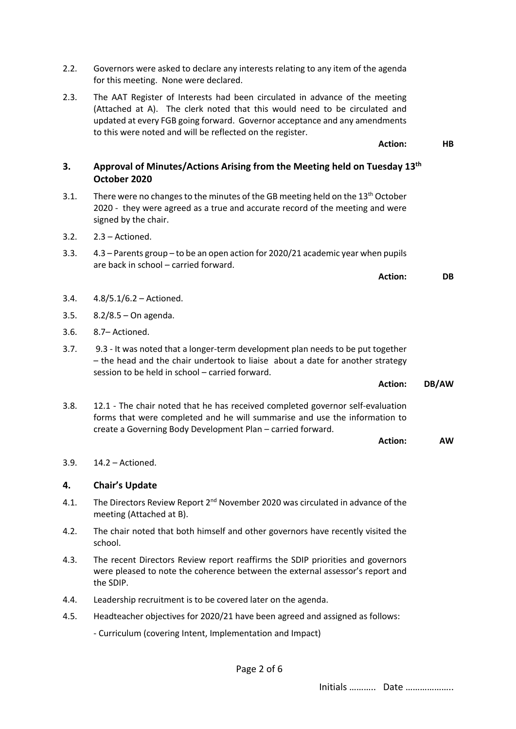- 2.2. Governors were asked to declare any interests relating to any item of the agenda for this meeting. None were declared.
- 2.3. The AAT Register of Interests had been circulated in advance of the meeting (Attached at A). The clerk noted that this would need to be circulated and updated at every FGB going forward. Governor acceptance and any amendments to this were noted and will be reflected on the register.

# **3. Approval of Minutes/Actions Arising from the Meeting held on Tuesday 13th October 2020**

- 3.1. There were no changes to the minutes of the GB meeting held on the  $13<sup>th</sup>$  October 2020 - they were agreed as a true and accurate record of the meeting and were signed by the chair.
- 3.2. 2.3 Actioned.
- 3.3. 4.3 Parents group to be an open action for 2020/21 academic year when pupils are back in school – carried forward.

**Action: DB**

**Action: HB**

- 3.4. 4.8/5.1/6.2 Actioned.
- 3.5. 8.2/8.5 On agenda.
- 3.6. 8.7– Actioned.
- 3.7. 9.3 It was noted that a longer-term development plan needs to be put together – the head and the chair undertook to liaise about a date for another strategy session to be held in school – carried forward.

**Action: DB/AW**

3.8. 12.1 - The chair noted that he has received completed governor self-evaluation forms that were completed and he will summarise and use the information to create a Governing Body Development Plan – carried forward.

**Action: AW**

#### 3.9. 14.2 – Actioned.

# **4. Chair's Update**

- 4.1. The Directors Review Report  $2<sup>nd</sup>$  November 2020 was circulated in advance of the meeting (Attached at B).
- 4.2. The chair noted that both himself and other governors have recently visited the school.
- 4.3. The recent Directors Review report reaffirms the SDIP priorities and governors were pleased to note the coherence between the external assessor's report and the SDIP.
- 4.4. Leadership recruitment is to be covered later on the agenda.
- 4.5. Headteacher objectives for 2020/21 have been agreed and assigned as follows:

- Curriculum (covering Intent, Implementation and Impact)

Page 2 of 6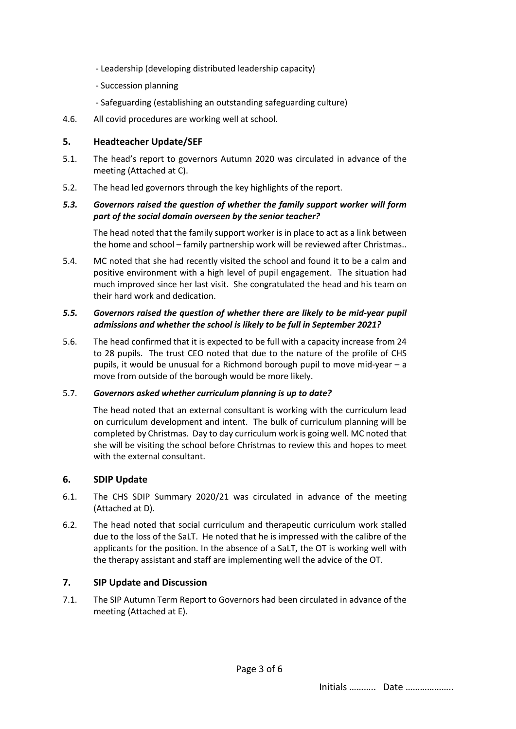- Leadership (developing distributed leadership capacity)
- Succession planning
- Safeguarding (establishing an outstanding safeguarding culture)
- 4.6. All covid procedures are working well at school.

#### **5. Headteacher Update/SEF**

- 5.1. The head's report to governors Autumn 2020 was circulated in advance of the meeting (Attached at C).
- 5.2. The head led governors through the key highlights of the report.

#### *5.3. Governors raised the question of whether the family support worker will form part of the social domain overseen by the senior teacher?*

The head noted that the family support worker is in place to act as a link between the home and school – family partnership work will be reviewed after Christmas..

5.4. MC noted that she had recently visited the school and found it to be a calm and positive environment with a high level of pupil engagement. The situation had much improved since her last visit. She congratulated the head and his team on their hard work and dedication.

#### *5.5. Governors raised the question of whether there are likely to be mid-year pupil admissions and whether the school is likely to be full in September 2021?*

5.6. The head confirmed that it is expected to be full with a capacity increase from 24 to 28 pupils. The trust CEO noted that due to the nature of the profile of CHS pupils, it would be unusual for a Richmond borough pupil to move mid-year – a move from outside of the borough would be more likely.

#### 5.7. *Governors asked whether curriculum planning is up to date?*

The head noted that an external consultant is working with the curriculum lead on curriculum development and intent. The bulk of curriculum planning will be completed by Christmas. Day to day curriculum work is going well. MC noted that she will be visiting the school before Christmas to review this and hopes to meet with the external consultant.

# **6. SDIP Update**

- 6.1. The CHS SDIP Summary 2020/21 was circulated in advance of the meeting (Attached at D).
- 6.2. The head noted that social curriculum and therapeutic curriculum work stalled due to the loss of the SaLT. He noted that he is impressed with the calibre of the applicants for the position. In the absence of a SaLT, the OT is working well with the therapy assistant and staff are implementing well the advice of the OT.

# **7. SIP Update and Discussion**

7.1. The SIP Autumn Term Report to Governors had been circulated in advance of the meeting (Attached at E).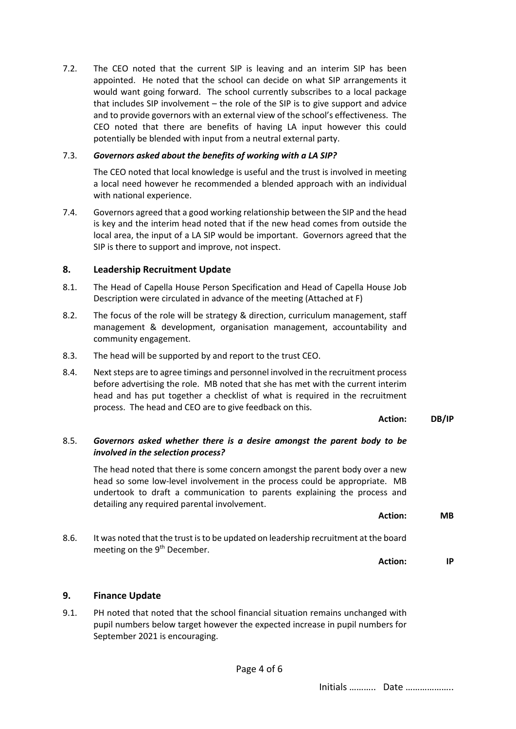7.2. The CEO noted that the current SIP is leaving and an interim SIP has been appointed. He noted that the school can decide on what SIP arrangements it would want going forward. The school currently subscribes to a local package that includes SIP involvement – the role of the SIP is to give support and advice and to provide governors with an external view of the school's effectiveness. The CEO noted that there are benefits of having LA input however this could potentially be blended with input from a neutral external party.

#### 7.3. *Governors asked about the benefits of working with a LA SIP?*

The CEO noted that local knowledge is useful and the trust is involved in meeting a local need however he recommended a blended approach with an individual with national experience.

7.4. Governors agreed that a good working relationship between the SIP and the head is key and the interim head noted that if the new head comes from outside the local area, the input of a LA SIP would be important. Governors agreed that the SIP is there to support and improve, not inspect.

# **8. Leadership Recruitment Update**

- 8.1. The Head of Capella House Person Specification and Head of Capella House Job Description were circulated in advance of the meeting (Attached at F)
- 8.2. The focus of the role will be strategy & direction, curriculum management, staff management & development, organisation management, accountability and community engagement.
- 8.3. The head will be supported by and report to the trust CEO.
- 8.4. Next steps are to agree timings and personnel involved in the recruitment process before advertising the role. MB noted that she has met with the current interim head and has put together a checklist of what is required in the recruitment process. The head and CEO are to give feedback on this.

#### **Action: DB/IP**

# 8.5. *Governors asked whether there is a desire amongst the parent body to be involved in the selection process?*

The head noted that there is some concern amongst the parent body over a new head so some low-level involvement in the process could be appropriate. MB undertook to draft a communication to parents explaining the process and detailing any required parental involvement.

**Action: MB**

8.6. It was noted that the trust is to be updated on leadership recruitment at the board meeting on the 9<sup>th</sup> December.

**Action: IP**

# **9. Finance Update**

9.1. PH noted that noted that the school financial situation remains unchanged with pupil numbers below target however the expected increase in pupil numbers for September 2021 is encouraging.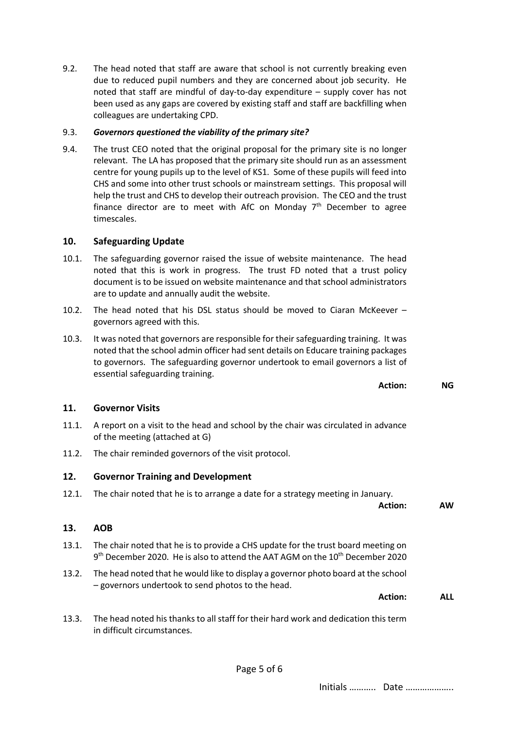9.2. The head noted that staff are aware that school is not currently breaking even due to reduced pupil numbers and they are concerned about job security. He noted that staff are mindful of day-to-day expenditure – supply cover has not been used as any gaps are covered by existing staff and staff are backfilling when colleagues are undertaking CPD.

#### 9.3. *Governors questioned the viability of the primary site?*

9.4. The trust CEO noted that the original proposal for the primary site is no longer relevant. The LA has proposed that the primary site should run as an assessment centre for young pupils up to the level of KS1. Some of these pupils will feed into CHS and some into other trust schools or mainstream settings. This proposal will help the trust and CHS to develop their outreach provision. The CEO and the trust finance director are to meet with AfC on Monday  $7<sup>th</sup>$  December to agree timescales.

#### **10. Safeguarding Update**

- 10.1. The safeguarding governor raised the issue of website maintenance. The head noted that this is work in progress. The trust FD noted that a trust policy document is to be issued on website maintenance and that school administrators are to update and annually audit the website.
- 10.2. The head noted that his DSL status should be moved to Ciaran McKeever governors agreed with this.
- 10.3. It was noted that governors are responsible for their safeguarding training. It was noted that the school admin officer had sent details on Educare training packages to governors. The safeguarding governor undertook to email governors a list of essential safeguarding training.

**Action: NG**

#### **11. Governor Visits**

- 11.1. A report on a visit to the head and school by the chair was circulated in advance of the meeting (attached at G)
- 11.2. The chair reminded governors of the visit protocol.

#### **12. Governor Training and Development**

12.1. The chair noted that he is to arrange a date for a strategy meeting in January.

**Action: AW**

#### **13. AOB**

- 13.1. The chair noted that he is to provide a CHS update for the trust board meeting on 9<sup>th</sup> December 2020. He is also to attend the AAT AGM on the 10<sup>th</sup> December 2020
- 13.2. The head noted that he would like to display a governor photo board at the school – governors undertook to send photos to the head.

**Action: ALL**

13.3. The head noted his thanks to all staff for their hard work and dedication this term in difficult circumstances.

Initials ……….. Date ………………..